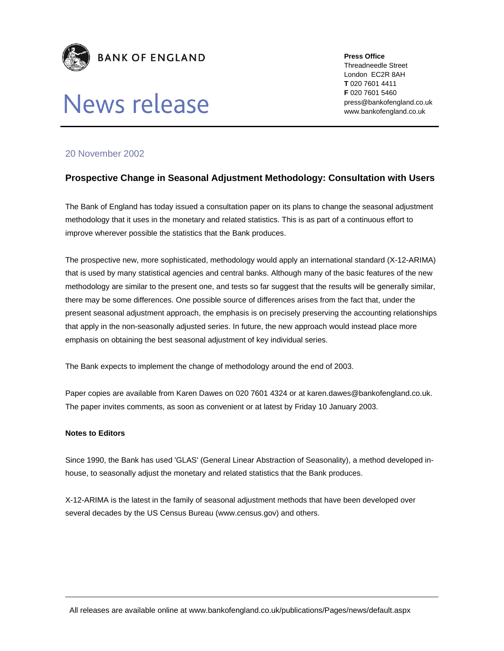

# News release

**Press Office**  Threadneedle Street London EC2R 8AH **T** 020 7601 4411 **F** 020 7601 5460 press@bankofengland.co.uk

www.bankofengland.co.uk

### 20 November 2002

## **Prospective Change in Seasonal Adjustment Methodology: Consultation with Users**

The Bank of England has today issued a consultation paper on its plans to change the seasonal adjustment methodology that it uses in the monetary and related statistics. This is as part of a continuous effort to improve wherever possible the statistics that the Bank produces.

The prospective new, more sophisticated, methodology would apply an international standard (X-12-ARIMA) that is used by many statistical agencies and central banks. Although many of the basic features of the new methodology are similar to the present one, and tests so far suggest that the results will be generally similar, there may be some differences. One possible source of differences arises from the fact that, under the present seasonal adjustment approach, the emphasis is on precisely preserving the accounting relationships that apply in the non-seasonally adjusted series. In future, the new approach would instead place more emphasis on obtaining the best seasonal adjustment of key individual series.

The Bank expects to implement the change of methodology around the end of 2003.

Paper copies are available from Karen Dawes on 020 7601 4324 or at karen.dawes@bankofengland.co.uk. The paper invites comments, as soon as convenient or at latest by Friday 10 January 2003.

#### **Notes to Editors**

Since 1990, the Bank has used 'GLAS' (General Linear Abstraction of Seasonality), a method developed inhouse, to seasonally adjust the monetary and related statistics that the Bank produces.

X-12-ARIMA is the latest in the family of seasonal adjustment methods that have been developed over several decades by the US Census Bureau (www.census.gov) and others.